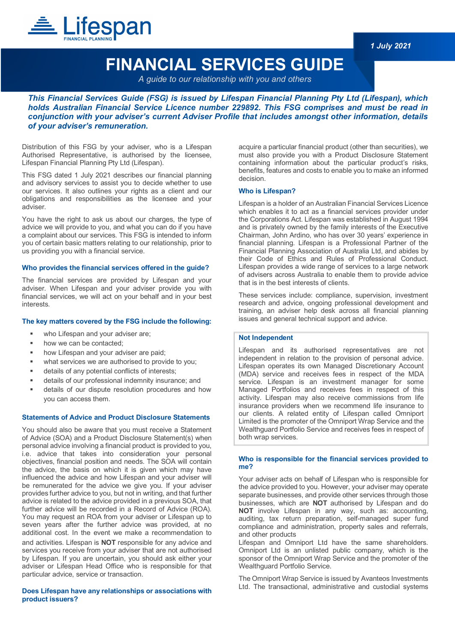

*1 July 2021*

## **FINANCIAL SERVICES GUIDE**

*A guide to our relationship with you and others*

*This Financial Services Guide (FSG) is issued by Lifespan Financial Planning Pty Ltd (Lifespan), which holds Australian Financial Service Licence number 229892. This FSG comprises and must be read in conjunction with your adviser's current Adviser Profile that includes amongst other information, details of your adviser's remuneration.*

Distribution of this FSG by your adviser, who is a Lifespan Authorised Representative, is authorised by the licensee, Lifespan Financial Planning Pty Ltd (Lifespan).

This FSG dated 1 July 2021 describes our financial planning and advisory services to assist you to decide whether to use our services. It also outlines your rights as a client and our obligations and responsibilities as the licensee and your adviser.

You have the right to ask us about our charges, the type of advice we will provide to you, and what you can do if you have a complaint about our services. This FSG is intended to inform you of certain basic matters relating to our relationship, prior to us providing you with a financial service.

## **Who provides the financial services offered in the guide?**

The financial services are provided by Lifespan and your adviser. When Lifespan and your adviser provide you with financial services, we will act on your behalf and in your best interests.

## **The key matters covered by the FSG include the following:**

- who Lifespan and your adviser are:
- how we can be contacted:
- how Lifespan and your adviser are paid;
- what services we are authorised to provide to you:
- details of any potential conflicts of interests;
- **■** details of our professional indemnity insurance; and
- details of our dispute resolution procedures and how you can access them.

#### **Statements of Advice and Product Disclosure Statements**

You should also be aware that you must receive a Statement of Advice (SOA) and a Product Disclosure Statement(s) when personal advice involving a financial product is provided to you, i.e. advice that takes into consideration your personal objectives, financial position and needs. The SOA will contain the advice, the basis on which it is given which may have influenced the advice and how Lifespan and your adviser will be remunerated for the advice we give you. If your adviser provides further advice to you, but not in writing, and that further advice is related to the advice provided in a previous SOA, that further advice will be recorded in a Record of Advice (ROA). You may request an ROA from your adviser or Lifespan up to seven years after the further advice was provided, at no additional cost. In the event we make a recommendation to and activities. Lifespan is **NOT** responsible for any advice and services you receive from your adviser that are not authorised by Lifespan. If you are uncertain, you should ask either your adviser or Lifespan Head Office who is responsible for that particular advice, service or transaction.

#### **Does Lifespan have any relationships or associations with product issuers?**

acquire a particular financial product (other than securities), we must also provide you with a Product Disclosure Statement containing information about the particular product's risks, benefits, features and costs to enable you to make an informed decision.

## **Who is Lifespan?**

Lifespan is a holder of an Australian Financial Services Licence which enables it to act as a financial services provider under the Corporations Act. Lifespan was established in August 1994 and is privately owned by the family interests of the Executive Chairman, John Ardino, who has over 30 years' experience in financial planning. Lifespan is a Professional Partner of the Financial Planning Association of Australia Ltd, and abides by their Code of Ethics and Rules of Professional Conduct. Lifespan provides a wide range of services to a large network of advisers across Australia to enable them to provide advice that is in the best interests of clients.

These services include: compliance, supervision, investment research and advice, ongoing professional development and training, an adviser help desk across all financial planning issues and general technical support and advice.

## **Not Independent**

Lifespan and its authorised representatives are not independent in relation to the provision of personal advice. Lifespan operates its own Managed Discretionary Account (MDA) service and receives fees in respect of the MDA service. Lifespan is an investment manager for some Managed Portfolios and receives fees in respect of this activity. Lifespan may also receive commissions from life insurance providers when we recommend life insurance to our clients. A related entity of Lifespan called Omniport Limited is the promoter of the Omniport Wrap Service and the Wealthguard Portfolio Service and receives fees in respect of both wrap services.

#### **Who is responsible for the financial services provided to me?**

Your adviser acts on behalf of Lifespan who is responsible for the advice provided to you. However, your adviser may operate separate businesses, and provide other services through those businesses, which are **NOT** authorised by Lifespan and do **NOT** involve Lifespan in any way, such as: accounting, auditing, tax return preparation, self-managed super fund compliance and administration, property sales and referrals, and other products

Lifespan and Omniport Ltd have the same shareholders. Omniport Ltd is an unlisted public company, which is the sponsor of the Omniport Wrap Service and the promoter of the Wealthguard Portfolio Service.

The Omniport Wrap Service is issued by Avanteos Investments Ltd. The transactional, administrative and custodial systems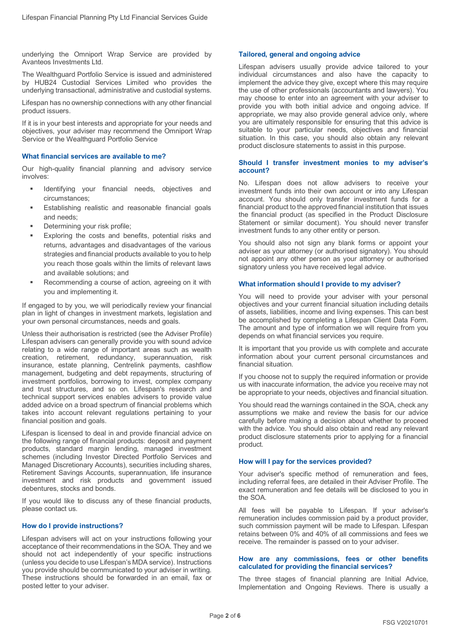underlying the Omniport Wrap Service are provided by Avanteos Investments Ltd.

The Wealthguard Portfolio Service is issued and administered by HUB24 Custodial Services Limited who provides the underlying transactional, administrative and custodial systems.

Lifespan has no ownership connections with any other financial product issuers.

If it is in your best interests and appropriate for your needs and objectives, your adviser may recommend the Omniport Wrap Service or the Wealthguard Portfolio Service

## **What financial services are available to me?**

Our high-quality financial planning and advisory service involves:

- Identifying your financial needs, objectives and circumstances;
- Establishing realistic and reasonable financial goals and needs;
- Determining your risk profile;
- Exploring the costs and benefits, potential risks and returns, advantages and disadvantages of the various strategies and financial products available to you to help you reach those goals within the limits of relevant laws and available solutions; and
- Recommending a course of action, agreeing on it with you and implementing it.

If engaged to by you, we will periodically review your financial plan in light of changes in investment markets, legislation and your own personal circumstances, needs and goals.

Unless their authorisation is restricted (see the Adviser Profile) Lifespan advisers can generally provide you with sound advice relating to a wide range of important areas such as wealth creation, retirement, redundancy, superannuation, risk insurance, estate planning, Centrelink payments, cashflow management, budgeting and debt repayments, structuring of investment portfolios, borrowing to invest, complex company and trust structures, and so on. Lifespan's research and technical support services enables advisers to provide value added advice on a broad spectrum of financial problems which takes into account relevant regulations pertaining to your financial position and goals.

Lifespan is licensed to deal in and provide financial advice on the following range of financial products: deposit and payment products, standard margin lending, managed investment schemes (including Investor Directed Portfolio Services and Managed Discretionary Accounts), securities including shares, Retirement Savings Accounts, superannuation, life insurance investment and risk products and government issued debentures, stocks and bonds.

If you would like to discuss any of these financial products, please contact us.

## **How do I provide instructions?**

Lifespan advisers will act on your instructions following your acceptance of their recommendations in the SOA. They and we should not act independently of your specific instructions (unless you decide to use Lifespan's MDA service). Instructions you provide should be communicated to your adviser in writing. These instructions should be forwarded in an email, fax or posted letter to your adviser.

## **Tailored, general and ongoing advice**

Lifespan advisers usually provide advice tailored to your individual circumstances and also have the capacity to implement the advice they give, except where this may require the use of other professionals (accountants and lawyers). You may choose to enter into an agreement with your adviser to provide you with both initial advice and ongoing advice. If appropriate, we may also provide general advice only, where you are ultimately responsible for ensuring that this advice is suitable to your particular needs, objectives and financial situation. In this case, you should also obtain any relevant product disclosure statements to assist in this purpose.

## **Should I transfer investment monies to my adviser's account?**

No. Lifespan does not allow advisers to receive your investment funds into their own account or into any Lifespan account. You should only transfer investment funds for a financial product to the approved financial institution that issues the financial product (as specified in the Product Disclosure Statement or similar document). You should never transfer investment funds to any other entity or person.

You should also not sign any blank forms or appoint your adviser as your attorney (or authorised signatory). You should not appoint any other person as your attorney or authorised signatory unless you have received legal advice.

## **What information should I provide to my adviser?**

You will need to provide your adviser with your personal objectives and your current financial situation including details of assets, liabilities, income and living expenses. This can best be accomplished by completing a Lifespan Client Data Form. The amount and type of information we will require from you depends on what financial services you require.

It is important that you provide us with complete and accurate information about your current personal circumstances and financial situation.

If you choose not to supply the required information or provide us with inaccurate information, the advice you receive may not be appropriate to your needs, objectives and financial situation.

You should read the warnings contained in the SOA, check any assumptions we make and review the basis for our advice carefully before making a decision about whether to proceed with the advice. You should also obtain and read any relevant product disclosure statements prior to applying for a financial product.

## **How will I pay for the services provided?**

Your adviser's specific method of remuneration and fees, including referral fees, are detailed in their Adviser Profile. The exact remuneration and fee details will be disclosed to you in the SOA.

All fees will be payable to Lifespan. If your adviser's remuneration includes commission paid by a product provider, such commission payment will be made to Lifespan. Lifespan retains between 0% and 40% of all commissions and fees we receive. The remainder is passed on to your adviser.

## **How are any commissions, fees or other benefits calculated for providing the financial services?**

The three stages of financial planning are Initial Advice, Implementation and Ongoing Reviews. There is usually a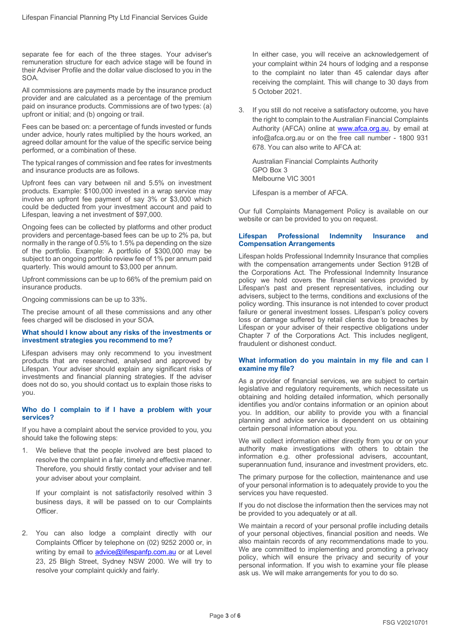separate fee for each of the three stages. Your adviser's remuneration structure for each advice stage will be found in their Adviser Profile and the dollar value disclosed to you in the SOA.

All commissions are payments made by the insurance product provider and are calculated as a percentage of the premium paid on insurance products. Commissions are of two types: (a) upfront or initial; and (b) ongoing or trail.

Fees can be based on: a percentage of funds invested or funds under advice, hourly rates multiplied by the hours worked, an agreed dollar amount for the value of the specific service being performed, or a combination of these.

The typical ranges of commission and fee rates for investments and insurance products are as follows.

Upfront fees can vary between nil and 5.5% on investment products. Example: \$100,000 invested in a wrap service may involve an upfront fee payment of say 3% or \$3,000 which could be deducted from your investment account and paid to Lifespan, leaving a net investment of \$97,000.

Ongoing fees can be collected by platforms and other product providers and percentage-based fees can be up to 2% pa, but normally in the range of 0.5% to 1.5% pa depending on the size of the portfolio. Example: A portfolio of \$300,000 may be subject to an ongoing portfolio review fee of 1% per annum paid quarterly. This would amount to \$3,000 per annum.

Upfront commissions can be up to 66% of the premium paid on insurance products.

Ongoing commissions can be up to 33%.

The precise amount of all these commissions and any other fees charged will be disclosed in your SOA.

## **What should I know about any risks of the investments or investment strategies you recommend to me?**

Lifespan advisers may only recommend to you investment products that are researched, analysed and approved by Lifespan. Your adviser should explain any significant risks of investments and financial planning strategies. If the adviser does not do so, you should contact us to explain those risks to you.

## **Who do I complain to if I have a problem with your services?**

If you have a complaint about the service provided to you, you should take the following steps:

1. We believe that the people involved are best placed to resolve the complaint in a fair, timely and effective manner. Therefore, you should firstly contact your adviser and tell your adviser about your complaint.

If your complaint is not satisfactorily resolved within 3 business days, it will be passed on to our Complaints Officer

2. You can also lodge a complaint directly with our Complaints Officer by telephone on (02) 9252 2000 or, in writing by email to advice@lifespanfp.com.au or at Level 23, 25 Bligh Street, Sydney NSW 2000. We will try to resolve your complaint quickly and fairly.

In either case, you will receive an acknowledgement of your complaint within 24 hours of lodging and a response to the complaint no later than 45 calendar days after receiving the complaint. This will change to 30 days from 5 October 2021.

3. If you still do not receive a satisfactory outcome, you have the right to complain to the Australian Financial Complaints Authority (AFCA) online at www.afca.org.au, by email at info@afca.org.au or on the free call number - 1800 931 678. You can also write to AFCA at:

Australian Financial Complaints Authority GPO Box 3 Melbourne VIC 3001

Lifespan is a member of AFCA.

Our full Complaints Management Policy is available on our website or can be provided to you on request.

## **Lifespan Professional Indemnity Insurance and Compensation Arrangements**

Lifespan holds Professional Indemnity Insurance that complies with the compensation arrangements under Section 912B of the Corporations Act. The Professional Indemnity Insurance policy we hold covers the financial services provided by Lifespan's past and present representatives, including our advisers, subject to the terms, conditions and exclusions of the policy wording. This insurance is not intended to cover product failure or general investment losses. Lifespan's policy covers loss or damage suffered by retail clients due to breaches by Lifespan or your adviser of their respective obligations under Chapter 7 of the Corporations Act. This includes negligent, fraudulent or dishonest conduct.

## **What information do you maintain in my file and can I examine my file?**

As a provider of financial services, we are subject to certain legislative and regulatory requirements, which necessitate us obtaining and holding detailed information, which personally identifies you and/or contains information or an opinion about you. In addition, our ability to provide you with a financial planning and advice service is dependent on us obtaining certain personal information about you.

We will collect information either directly from you or on your authority make investigations with others to obtain the information e.g. other professional advisers, accountant. superannuation fund, insurance and investment providers, etc.

The primary purpose for the collection, maintenance and use of your personal information is to adequately provide to you the services you have requested.

If you do not disclose the information then the services may not be provided to you adequately or at all.

We maintain a record of your personal profile including details of your personal objectives, financial position and needs. We also maintain records of any recommendations made to you. We are committed to implementing and promoting a privacy policy, which will ensure the privacy and security of your personal information. If you wish to examine your file please ask us. We will make arrangements for you to do so.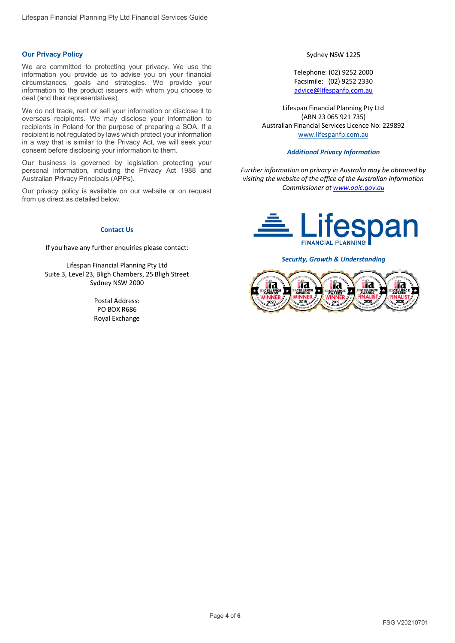## **Our Privacy Policy**

We are committed to protecting your privacy. We use the information you provide us to advise you on your financial circumstances, goals and strategies. We provide your information to the product issuers with whom you choose to deal (and their representatives).

We do not trade, rent or sell your information or disclose it to overseas recipients. We may disclose your information to recipients in Poland for the purpose of preparing a SOA. If a recipient is not regulated by laws which protect your information in a way that is similar to the Privacy Act, we will seek your consent before disclosing your information to them.

Our business is governed by legislation protecting your personal information, including the Privacy Act 1988 and Australian Privacy Principals (APPs).

Our privacy policy is available on our website or on request from us direct as detailed below.

## **Contact Us**

If you have any further enquiries please contact:

Lifespan Financial Planning Pty Ltd Suite 3, Level 23, Bligh Chambers, 25 Bligh Street Sydney NSW 2000

> Postal Address: PO BOX R686 Royal Exchange

Sydney NSW 1225

Telephone: (02) 9252 2000 Facsimile: (02) 9252 2330 advice@lifespanfp.com.au

Lifespan Financial Planning Pty Ltd (ABN 23 065 921 735) Australian Financial Services Licence No: 229892 www.lifespanfp.com.au

#### *Additional Privacy Information*

*Further information on privacy in Australia may be obtained by visiting the website of the office of the Australian Information Commissioner at www.oaic.gov.au*



#### *Security, Growth & Understanding*

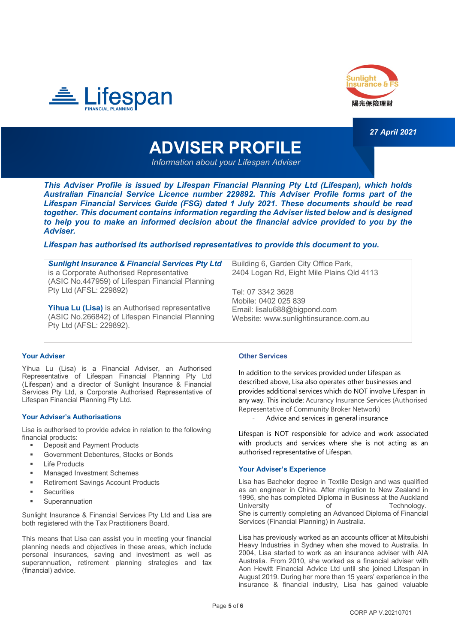



*27 April 2021*

# **ADVISER PROFILE**

*Information about your Lifespan Adviser*

*This Adviser Profile is issued by Lifespan Financial Planning Pty Ltd (Lifespan), which holds Australian Financial Service Licence number 229892. This Adviser Profile forms part of the Lifespan Financial Services Guide (FSG) dated 1 July 2021. These documents should be read*  together. This document contains information regarding the Adviser listed below and is designed *to help you to make an informed decision about the financial advice provided to you by the Adviser.*

*Lifespan has authorised its authorised representatives to provide this document to you.*

| <b>Sunlight Insurance &amp; Financial Services Pty Ltd</b><br>is a Corporate Authorised Representative<br>(ASIC No.447959) of Lifespan Financial Planning | Building 6, Garden City Office Park,<br>2404 Logan Rd, Eight Mile Plains Qld 4113 |
|-----------------------------------------------------------------------------------------------------------------------------------------------------------|-----------------------------------------------------------------------------------|
| Pty Ltd (AFSL: 229892)                                                                                                                                    | Tel: 07 3342 3628                                                                 |
| <b>Yihua Lu (Lisa)</b> is an Authorised representative                                                                                                    | Mobile: 0402 025 839                                                              |
| (ASIC No.266842) of Lifespan Financial Planning                                                                                                           | Email: lisalu688@bigpond.com                                                      |
| Pty Ltd (AFSL: 229892).                                                                                                                                   | Website: www.sunlightinsurance.com.au                                             |

## **Your Adviser**

Yihua Lu (Lisa) is a Financial Adviser, an Authorised Representative of Lifespan Financial Planning Pty Ltd (Lifespan) and a director of Sunlight Insurance & Financial Services Pty Ltd, a Corporate Authorised Representative of Lifespan Financial Planning Pty Ltd.

## **Your Adviser's Authorisations**

Lisa is authorised to provide advice in relation to the following financial products:

- Deposit and Payment Products
- § Government Debentures, Stocks or Bonds
- § Life Products
- § Managed Investment Schemes
- § Retirement Savings Account Products
- Securities
- **Superannuation**

Sunlight Insurance & Financial Services Pty Ltd and Lisa are both registered with the Tax Practitioners Board.

This means that Lisa can assist you in meeting your financial planning needs and objectives in these areas, which include personal insurances, saving and investment as well as superannuation, retirement planning strategies and tax (financial) advice.

#### **Other Services**

In addition to the services provided under Lifespan as described above, Lisa also operates other businesses and provides additional services which do NOT involve Lifespan in any way. This include: Acurancy Insurance Services (Authorised Representative of Community Broker Network)

Advice and services in general insurance

Lifespan is NOT responsible for advice and work associated with products and services where she is not acting as an authorised representative of Lifespan.

## **Your Adviser's Experience**

Lisa has Bachelor degree in Textile Design and was qualified as an engineer in China. After migration to New Zealand in 1996, she has completed Diploma in Business at the Auckland University of Technology. She is currently completing an Advanced Diploma of Financial Services (Financial Planning) in Australia.

Lisa has previously worked as an accounts officer at Mitsubishi Heavy Industries in Sydney when she moved to Australia. In 2004, Lisa started to work as an insurance adviser with AIA Australia. From 2010, she worked as a financial adviser with Aon Hewitt Financial Advice Ltd until she joined Lifespan in August 2019. During her more than 15 years' experience in the insurance & financial industry, Lisa has gained valuable